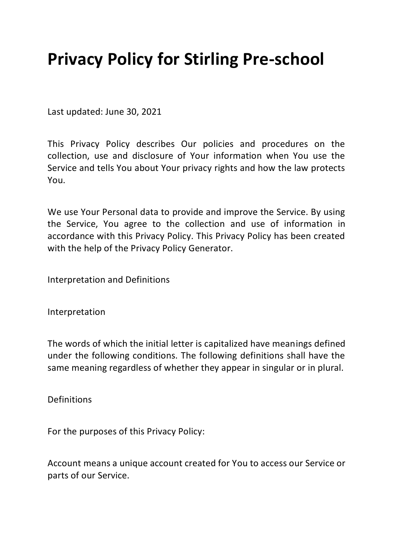## **Privacy Policy for Stirling Pre-school**

Last updated: June 30, 2021

This Privacy Policy describes Our policies and procedures on the collection, use and disclosure of Your information when You use the Service and tells You about Your privacy rights and how the law protects You.

We use Your Personal data to provide and improve the Service. By using the Service, You agree to the collection and use of information in accordance with this Privacy Policy. This Privacy Policy has been created with the help of the Privacy Policy Generator.

Interpretation and Definitions

Interpretation

The words of which the initial letter is capitalized have meanings defined under the following conditions. The following definitions shall have the same meaning regardless of whether they appear in singular or in plural.

Definitions

For the purposes of this Privacy Policy:

Account means a unique account created for You to access our Service or parts of our Service.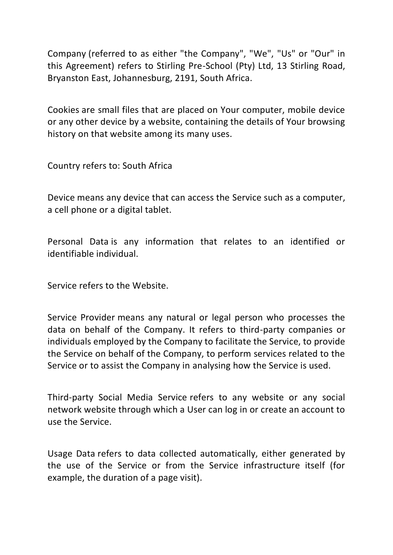Company (referred to as either "the Company", "We", "Us" or "Our" in this Agreement) refers to Stirling Pre-School (Pty) Ltd, 13 Stirling Road, Bryanston East, Johannesburg, 2191, South Africa.

Cookies are small files that are placed on Your computer, mobile device or any other device by a website, containing the details of Your browsing history on that website among its many uses.

Country refers to: South Africa

Device means any device that can access the Service such as a computer, a cell phone or a digital tablet.

Personal Data is any information that relates to an identified or identifiable individual.

Service refers to the Website.

Service Provider means any natural or legal person who processes the data on behalf of the Company. It refers to third-party companies or individuals employed by the Company to facilitate the Service, to provide the Service on behalf of the Company, to perform services related to the Service or to assist the Company in analysing how the Service is used.

Third-party Social Media Service refers to any website or any social network website through which a User can log in or create an account to use the Service.

Usage Data refers to data collected automatically, either generated by the use of the Service or from the Service infrastructure itself (for example, the duration of a page visit).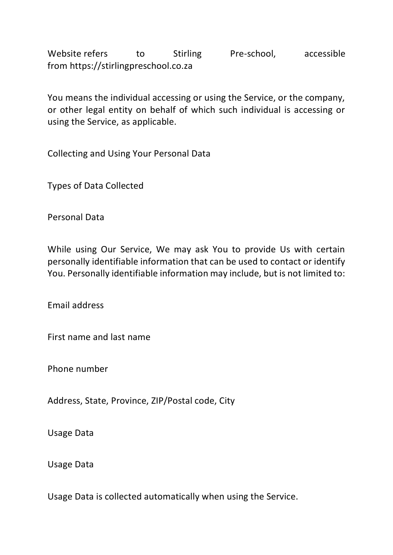Website refers to Stirling Pre-school, accessible from https://stirlingpreschool.co.za

You means the individual accessing or using the Service, or the company, or other legal entity on behalf of which such individual is accessing or using the Service, as applicable.

Collecting and Using Your Personal Data

Types of Data Collected

Personal Data

While using Our Service, We may ask You to provide Us with certain personally identifiable information that can be used to contact or identify You. Personally identifiable information may include, but is not limited to:

Email address

First name and last name

Phone number

Address, State, Province, ZIP/Postal code, City

Usage Data

Usage Data

Usage Data is collected automatically when using the Service.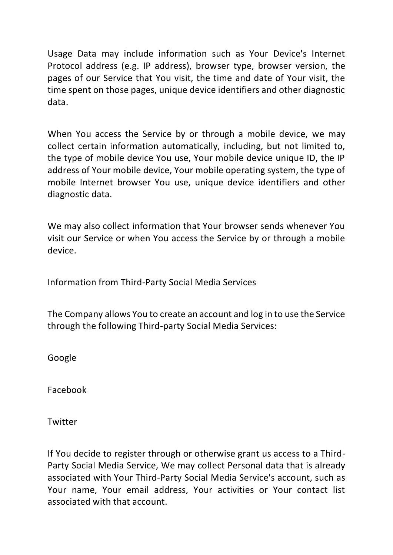Usage Data may include information such as Your Device's Internet Protocol address (e.g. IP address), browser type, browser version, the pages of our Service that You visit, the time and date of Your visit, the time spent on those pages, unique device identifiers and other diagnostic data.

When You access the Service by or through a mobile device, we may collect certain information automatically, including, but not limited to, the type of mobile device You use, Your mobile device unique ID, the IP address of Your mobile device, Your mobile operating system, the type of mobile Internet browser You use, unique device identifiers and other diagnostic data.

We may also collect information that Your browser sends whenever You visit our Service or when You access the Service by or through a mobile device.

Information from Third-Party Social Media Services

The Company allows You to create an account and log in to use the Service through the following Third-party Social Media Services:

Google

Facebook

Twitter

If You decide to register through or otherwise grant us access to a Third-Party Social Media Service, We may collect Personal data that is already associated with Your Third-Party Social Media Service's account, such as Your name, Your email address, Your activities or Your contact list associated with that account.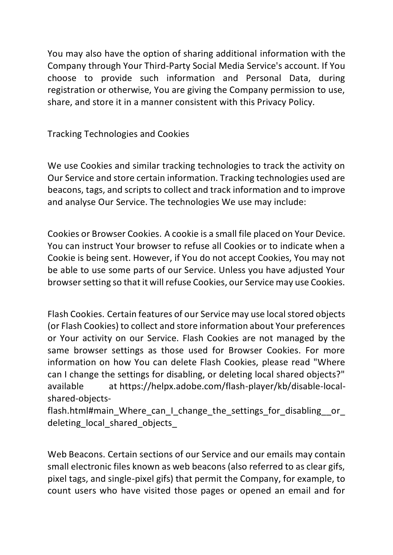You may also have the option of sharing additional information with the Company through Your Third-Party Social Media Service's account. If You choose to provide such information and Personal Data, during registration or otherwise, You are giving the Company permission to use, share, and store it in a manner consistent with this Privacy Policy.

Tracking Technologies and Cookies

We use Cookies and similar tracking technologies to track the activity on Our Service and store certain information. Tracking technologies used are beacons, tags, and scripts to collect and track information and to improve and analyse Our Service. The technologies We use may include:

Cookies or Browser Cookies. A cookie is a small file placed on Your Device. You can instruct Your browser to refuse all Cookies or to indicate when a Cookie is being sent. However, if You do not accept Cookies, You may not be able to use some parts of our Service. Unless you have adjusted Your browser setting so that it will refuse Cookies, our Service may use Cookies.

Flash Cookies. Certain features of our Service may use local stored objects (or Flash Cookies) to collect and store information about Your preferences or Your activity on our Service. Flash Cookies are not managed by the same browser settings as those used for Browser Cookies. For more information on how You can delete Flash Cookies, please read "Where can I change the settings for disabling, or deleting local shared objects?" available at https://helpx.adobe.com/flash-player/kb/disable-localshared-objects-

flash.html#main\_Where\_can\_I\_change\_the\_settings\_for\_disabling\_\_or deleting local shared objects

Web Beacons. Certain sections of our Service and our emails may contain small electronic files known as web beacons (also referred to as clear gifs, pixel tags, and single-pixel gifs) that permit the Company, for example, to count users who have visited those pages or opened an email and for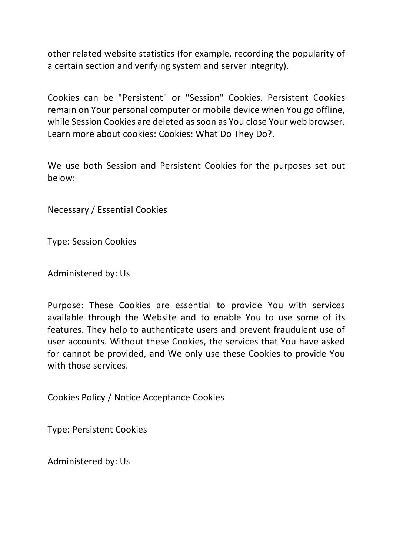other related website statistics (for example, recording the popularity of a certain section and verifying system and server integrity).

Cookies can be "Persistent" or "Session" Cookies. Persistent Cookies remain on Your personal computer or mobile device when You go offline, while Session Cookies are deleted as soon as You close Your web browser. Learn more about cookies: Cookies: What Do They Do?.

We use both Session and Persistent Cookies for the purposes set out below:

Necessary / Essential Cookies

Type: Session Cookies

Administered by: Us

Purpose: These Cookies are essential to provide You with services available through the Website and to enable You to use some of its features. They help to authenticate users and prevent fraudulent use of user accounts. Without these Cookies, the services that You have asked for cannot be provided, and We only use these Cookies to provide You with those services.

Cookies Policy / Notice Acceptance Cookies

Type: Persistent Cookies

Administered by: Us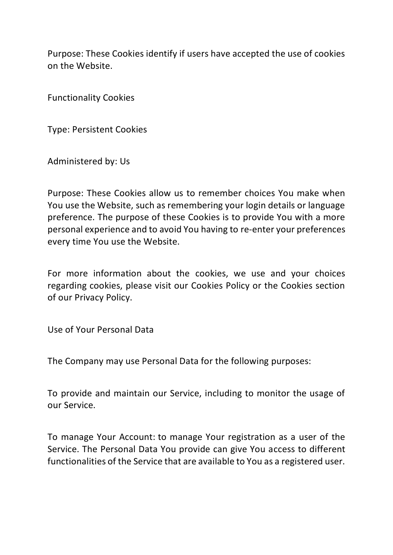Purpose: These Cookies identify if users have accepted the use of cookies on the Website.

Functionality Cookies

Type: Persistent Cookies

Administered by: Us

Purpose: These Cookies allow us to remember choices You make when You use the Website, such as remembering your login details or language preference. The purpose of these Cookies is to provide You with a more personal experience and to avoid You having to re-enter your preferences every time You use the Website.

For more information about the cookies, we use and your choices regarding cookies, please visit our Cookies Policy or the Cookies section of our Privacy Policy.

Use of Your Personal Data

The Company may use Personal Data for the following purposes:

To provide and maintain our Service, including to monitor the usage of our Service.

To manage Your Account: to manage Your registration as a user of the Service. The Personal Data You provide can give You access to different functionalities of the Service that are available to You as a registered user.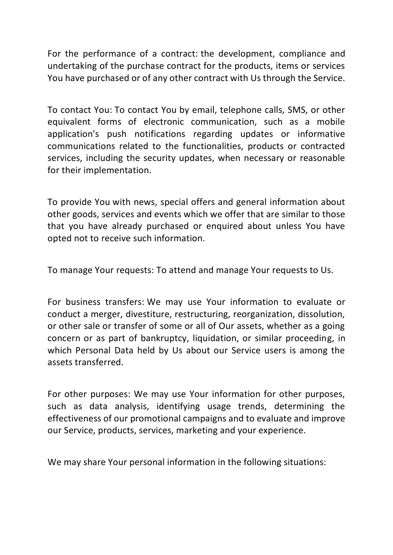For the performance of a contract: the development, compliance and undertaking of the purchase contract for the products, items or services You have purchased or of any other contract with Us through the Service.

To contact You: To contact You by email, telephone calls, SMS, or other equivalent forms of electronic communication, such as a mobile application's push notifications regarding updates or informative communications related to the functionalities, products or contracted services, including the security updates, when necessary or reasonable for their implementation.

To provide You with news, special offers and general information about other goods, services and events which we offer that are similar to those that you have already purchased or enquired about unless You have opted not to receive such information.

To manage Your requests: To attend and manage Your requests to Us.

For business transfers: We may use Your information to evaluate or conduct a merger, divestiture, restructuring, reorganization, dissolution, or other sale or transfer of some or all of Our assets, whether as a going concern or as part of bankruptcy, liquidation, or similar proceeding, in which Personal Data held by Us about our Service users is among the assets transferred.

For other purposes: We may use Your information for other purposes, such as data analysis, identifying usage trends, determining the effectiveness of our promotional campaigns and to evaluate and improve our Service, products, services, marketing and your experience.

We may share Your personal information in the following situations: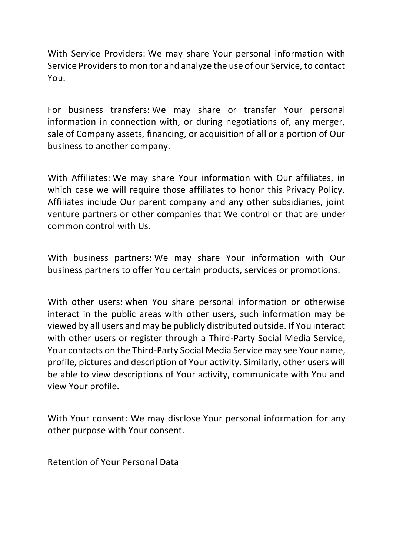With Service Providers: We may share Your personal information with Service Providers to monitor and analyze the use of our Service, to contact You.

For business transfers: We may share or transfer Your personal information in connection with, or during negotiations of, any merger, sale of Company assets, financing, or acquisition of all or a portion of Our business to another company.

With Affiliates: We may share Your information with Our affiliates, in which case we will require those affiliates to honor this Privacy Policy. Affiliates include Our parent company and any other subsidiaries, joint venture partners or other companies that We control or that are under common control with Us.

With business partners: We may share Your information with Our business partners to offer You certain products, services or promotions.

With other users: when You share personal information or otherwise interact in the public areas with other users, such information may be viewed by all users and may be publicly distributed outside. If You interact with other users or register through a Third-Party Social Media Service, Your contacts on the Third-Party Social Media Service may see Your name, profile, pictures and description of Your activity. Similarly, other users will be able to view descriptions of Your activity, communicate with You and view Your profile.

With Your consent: We may disclose Your personal information for any other purpose with Your consent.

Retention of Your Personal Data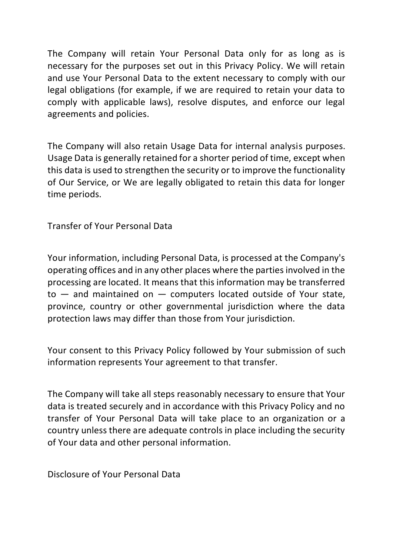The Company will retain Your Personal Data only for as long as is necessary for the purposes set out in this Privacy Policy. We will retain and use Your Personal Data to the extent necessary to comply with our legal obligations (for example, if we are required to retain your data to comply with applicable laws), resolve disputes, and enforce our legal agreements and policies.

The Company will also retain Usage Data for internal analysis purposes. Usage Data is generally retained for a shorter period of time, except when this data is used to strengthen the security or to improve the functionality of Our Service, or We are legally obligated to retain this data for longer time periods.

Transfer of Your Personal Data

Your information, including Personal Data, is processed at the Company's operating offices and in any other places where the parties involved in the processing are located. It means that this information may be transferred  $to$  — and maintained on — computers located outside of Your state, province, country or other governmental jurisdiction where the data protection laws may differ than those from Your jurisdiction.

Your consent to this Privacy Policy followed by Your submission of such information represents Your agreement to that transfer.

The Company will take all steps reasonably necessary to ensure that Your data is treated securely and in accordance with this Privacy Policy and no transfer of Your Personal Data will take place to an organization or a country unless there are adequate controls in place including the security of Your data and other personal information.

Disclosure of Your Personal Data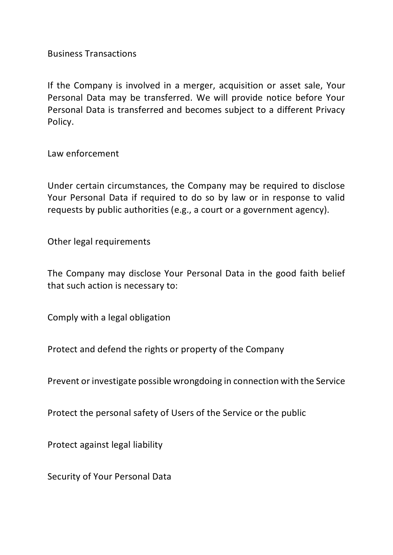Business Transactions

If the Company is involved in a merger, acquisition or asset sale, Your Personal Data may be transferred. We will provide notice before Your Personal Data is transferred and becomes subject to a different Privacy Policy.

Law enforcement

Under certain circumstances, the Company may be required to disclose Your Personal Data if required to do so by law or in response to valid requests by public authorities (e.g., a court or a government agency).

Other legal requirements

The Company may disclose Your Personal Data in the good faith belief that such action is necessary to:

Comply with a legal obligation

Protect and defend the rights or property of the Company

Prevent or investigate possible wrongdoing in connection with the Service

Protect the personal safety of Users of the Service or the public

Protect against legal liability

Security of Your Personal Data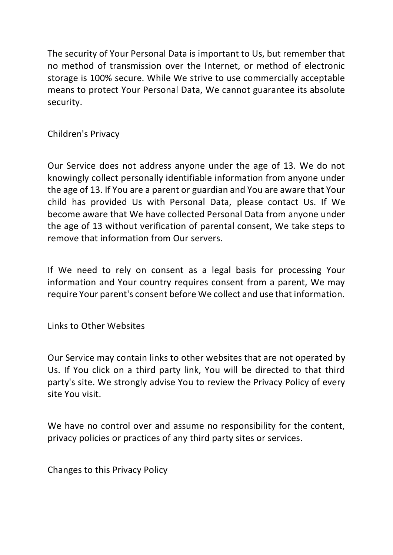The security of Your Personal Data is important to Us, but remember that no method of transmission over the Internet, or method of electronic storage is 100% secure. While We strive to use commercially acceptable means to protect Your Personal Data, We cannot guarantee its absolute security.

Children's Privacy

Our Service does not address anyone under the age of 13. We do not knowingly collect personally identifiable information from anyone under the age of 13. If You are a parent or guardian and You are aware that Your child has provided Us with Personal Data, please contact Us. If We become aware that We have collected Personal Data from anyone under the age of 13 without verification of parental consent, We take steps to remove that information from Our servers.

If We need to rely on consent as a legal basis for processing Your information and Your country requires consent from a parent, We may require Your parent's consent before We collect and use that information.

Links to Other Websites

Our Service may contain links to other websites that are not operated by Us. If You click on a third party link, You will be directed to that third party's site. We strongly advise You to review the Privacy Policy of every site You visit.

We have no control over and assume no responsibility for the content, privacy policies or practices of any third party sites or services.

Changes to this Privacy Policy